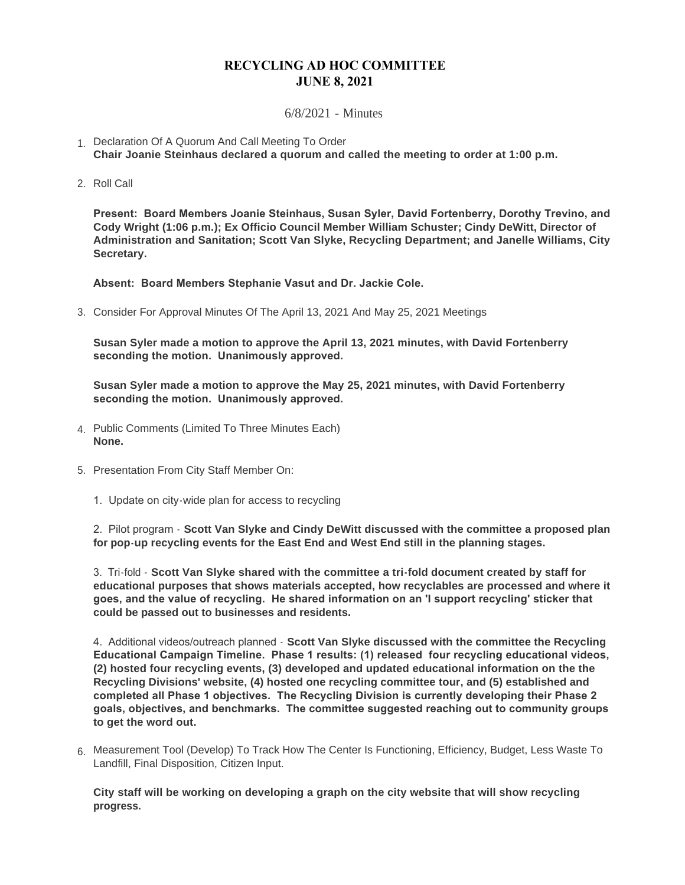## **RECYCLING AD HOC COMMITTEE JUNE 8, 2021**

6/8/2021 - Minutes

- 1. Declaration Of A Quorum And Call Meeting To Order **Chair Joanie Steinhaus declared a quorum and called the meeting to order at 1:00 p.m.**
- 2. Roll Call

**Present: Board Members Joanie Steinhaus, Susan Syler, David Fortenberry, Dorothy Trevino, and Cody Wright (1:06 p.m.); Ex Officio Council Member William Schuster; Cindy DeWitt, Director of Administration and Sanitation; Scott Van Slyke, Recycling Department; and Janelle Williams, City Secretary.**

**Absent: Board Members Stephanie Vasut and Dr. Jackie Cole.**

3. Consider For Approval Minutes Of The April 13, 2021 And May 25, 2021 Meetings

**Susan Syler made a motion to approve the April 13, 2021 minutes, with David Fortenberry seconding the motion. Unanimously approved.**

**Susan Syler made a motion to approve the May 25, 2021 minutes, with David Fortenberry seconding the motion. Unanimously approved.**

- Public Comments (Limited To Three Minutes Each) 4. **None.**
- 5. Presentation From City Staff Member On:
	- 1. Update on city-wide plan for access to recycling

2. Pilot program - **Scott Van Slyke and Cindy DeWitt discussed with the committee a proposed plan for pop-up recycling events for the East End and West End still in the planning stages.**

3. Tri-fold - **Scott Van Slyke shared with the committee a tri-fold document created by staff for educational purposes that shows materials accepted, how recyclables are processed and where it goes, and the value of recycling. He shared information on an 'I support recycling' sticker that could be passed out to businesses and residents.**

4. Additional videos/outreach planned - **Scott Van Slyke discussed with the committee the Recycling Educational Campaign Timeline. Phase 1 results: (1) released four recycling educational videos, (2) hosted four recycling events, (3) developed and updated educational information on the the Recycling Divisions' website, (4) hosted one recycling committee tour, and (5) established and completed all Phase 1 objectives. The Recycling Division is currently developing their Phase 2 goals, objectives, and benchmarks. The committee suggested reaching out to community groups to get the word out.**

Measurement Tool (Develop) To Track How The Center Is Functioning, Efficiency, Budget, Less Waste To 6. Landfill, Final Disposition, Citizen Input.

**City staff will be working on developing a graph on the city website that will show recycling progress.**